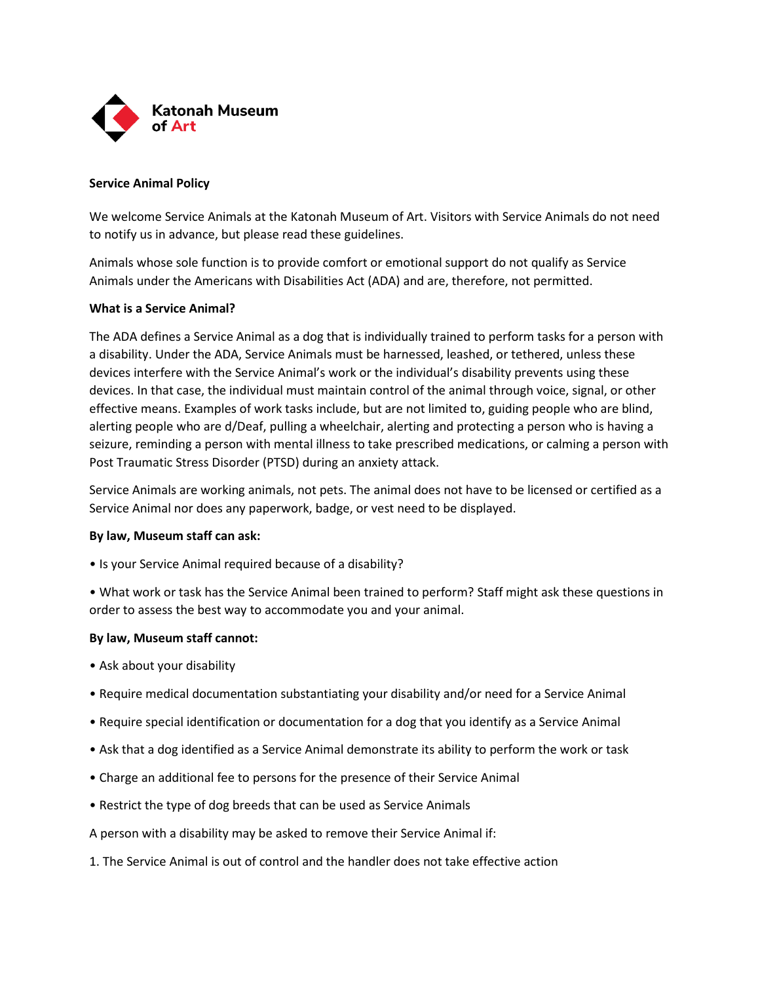

## **Service Animal Policy**

We welcome Service Animals at the Katonah Museum of Art. Visitors with Service Animals do not need to notify us in advance, but please read these guidelines.

Animals whose sole function is to provide comfort or emotional support do not qualify as Service Animals under the Americans with Disabilities Act (ADA) and are, therefore, not permitted.

## **What is a Service Animal?**

The ADA defines a Service Animal as a dog that is individually trained to perform tasks for a person with a disability. Under the ADA, Service Animals must be harnessed, leashed, or tethered, unless these devices interfere with the Service Animal's work or the individual's disability prevents using these devices. In that case, the individual must maintain control of the animal through voice, signal, or other effective means. Examples of work tasks include, but are not limited to, guiding people who are blind, alerting people who are d/Deaf, pulling a wheelchair, alerting and protecting a person who is having a seizure, reminding a person with mental illness to take prescribed medications, or calming a person with Post Traumatic Stress Disorder (PTSD) during an anxiety attack.

Service Animals are working animals, not pets. The animal does not have to be licensed or certified as a Service Animal nor does any paperwork, badge, or vest need to be displayed.

## **By law, Museum staff can ask:**

• Is your Service Animal required because of a disability?

• What work or task has the Service Animal been trained to perform? Staff might ask these questions in order to assess the best way to accommodate you and your animal.

## **By law, Museum staff cannot:**

- Ask about your disability
- Require medical documentation substantiating your disability and/or need for a Service Animal
- Require special identification or documentation for a dog that you identify as a Service Animal
- Ask that a dog identified as a Service Animal demonstrate its ability to perform the work or task
- Charge an additional fee to persons for the presence of their Service Animal
- Restrict the type of dog breeds that can be used as Service Animals
- A person with a disability may be asked to remove their Service Animal if:
- 1. The Service Animal is out of control and the handler does not take effective action